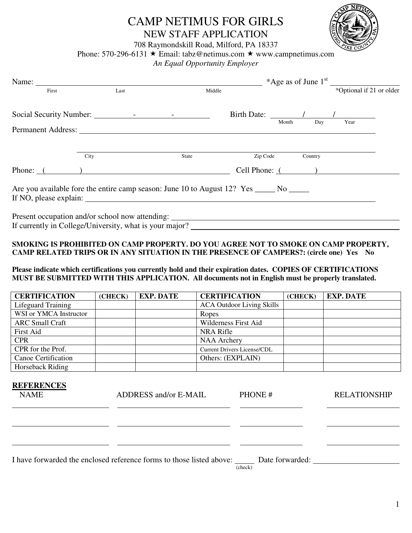# CAMP NETIMUS FOR GIRLS NEW STAFF APPLICATION



708 Raymondskill Road, Milford, PA 18337

Phone: 570-296-6131  $\star$  Email: tabz@netimus.com  $\star$  www.campnetimus.com

*An Equal Opportunity Employer* 

| First                                                                                                             | Last | Middle                                                                            |          |         | *Optional if 21 or older                                                                                                                                                                                                             |
|-------------------------------------------------------------------------------------------------------------------|------|-----------------------------------------------------------------------------------|----------|---------|--------------------------------------------------------------------------------------------------------------------------------------------------------------------------------------------------------------------------------------|
|                                                                                                                   |      |                                                                                   |          |         | Birth Date: <u>All Alexander Chapter Charles Chapter Charles Charles Charles Charles Charles Charles Charles Charles Charles Charles Charles Charles Charles Charles Charles Charles Charles Charles Charles Charles Charles Cha</u> |
|                                                                                                                   |      |                                                                                   |          |         |                                                                                                                                                                                                                                      |
|                                                                                                                   | City | State                                                                             | Zip Code | Country |                                                                                                                                                                                                                                      |
| Phone: $($ )                                                                                                      |      |                                                                                   |          |         | Cell Phone: $($                                                                                                                                                                                                                      |
| Are you available fore the entire camp season: June 10 to August 12? Yes _____ No _____<br>If NO, please explain: |      |                                                                                   |          |         |                                                                                                                                                                                                                                      |
|                                                                                                                   |      | Present occupation and/or school now attending: _________________________________ |          |         |                                                                                                                                                                                                                                      |
|                                                                                                                   |      |                                                                                   |          |         |                                                                                                                                                                                                                                      |

#### **SMOKING IS PROHIBITED ON CAMP PROPERTY. DO YOU AGREE NOT TO SMOKE ON CAMP PROPERTY, CAMP RELATED TRIPS OR IN ANY SITUATION IN THE PRESENCE OF CAMPERS?: (circle one) Yes No**

#### **Please indicate which certifications you currently hold and their expiration dates. COPIES OF CERTIFICATIONS MUST BE SUBMITTED WITH THIS APPLICATION. All documents not in English must be properly translated.**

| <b>CERTIFICATION</b>   | (CHECK) | <b>EXP. DATE</b> | <b>CERTIFICATION</b>               | (CHECK) | <b>EXP. DATE</b> |
|------------------------|---------|------------------|------------------------------------|---------|------------------|
| Lifeguard Training     |         |                  | <b>ACA Outdoor Living Skills</b>   |         |                  |
| WSI or YMCA Instructor |         |                  | Ropes                              |         |                  |
| <b>ARC Small Craft</b> |         |                  | <b>Wilderness First Aid</b>        |         |                  |
| <b>First Aid</b>       |         |                  | <b>NRA Rifle</b>                   |         |                  |
| <b>CPR</b>             |         |                  | <b>NAA Archery</b>                 |         |                  |
| CPR for the Prof.      |         |                  | <b>Current Drivers License/CDL</b> |         |                  |
| Canoe Certification    |         |                  | Others: (EXPLAIN)                  |         |                  |
| Horseback Riding       |         |                  |                                    |         |                  |

| <b>REFERENCES</b><br><b>NAME</b> | ADDRESS and/or E-MAIL                                                                | PHONE#  | <b>RELATIONSHIP</b> |
|----------------------------------|--------------------------------------------------------------------------------------|---------|---------------------|
|                                  |                                                                                      |         |                     |
|                                  |                                                                                      |         |                     |
|                                  | I have forwarded the enclosed reference forms to those listed above: Date forwarded: | (check) |                     |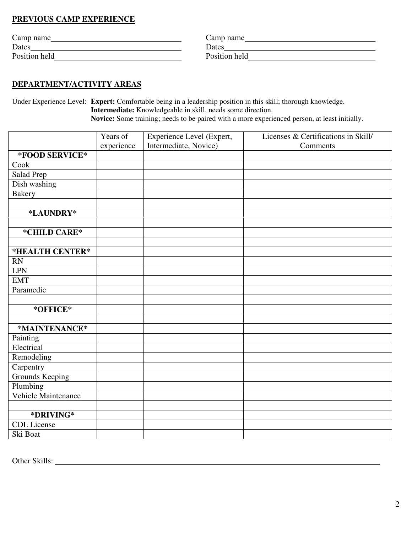## **PREVIOUS CAMP EXPERIENCE**

| Camp name     | Camp name     |
|---------------|---------------|
| Dates         | Dates         |
| Position held | Position held |

### **DEPARTMENT/ACTIVITY AREAS**

Under Experience Level: **Expert:** Comfortable being in a leadership position in this skill; thorough knowledge. **Intermediate:** Knowledgeable in skill, needs some direction.

**Novice:** Some training; needs to be paired with a more experienced person, at least initially.

|                     | Years of   | Experience Level (Expert, | Licenses & Certifications in Skill/ |
|---------------------|------------|---------------------------|-------------------------------------|
|                     | experience | Intermediate, Novice)     | Comments                            |
| *FOOD SERVICE*      |            |                           |                                     |
| Cook                |            |                           |                                     |
| Salad Prep          |            |                           |                                     |
| Dish washing        |            |                           |                                     |
| <b>Bakery</b>       |            |                           |                                     |
|                     |            |                           |                                     |
| *LAUNDRY*           |            |                           |                                     |
|                     |            |                           |                                     |
| *CHILD CARE*        |            |                           |                                     |
|                     |            |                           |                                     |
| *HEALTH CENTER*     |            |                           |                                     |
| <b>RN</b>           |            |                           |                                     |
| <b>LPN</b>          |            |                           |                                     |
| <b>EMT</b>          |            |                           |                                     |
| Paramedic           |            |                           |                                     |
|                     |            |                           |                                     |
| *OFFICE*            |            |                           |                                     |
|                     |            |                           |                                     |
| *MAINTENANCE*       |            |                           |                                     |
| Painting            |            |                           |                                     |
| Electrical          |            |                           |                                     |
| Remodeling          |            |                           |                                     |
| Carpentry           |            |                           |                                     |
| Grounds Keeping     |            |                           |                                     |
| Plumbing            |            |                           |                                     |
| Vehicle Maintenance |            |                           |                                     |
|                     |            |                           |                                     |
| *DRIVING*           |            |                           |                                     |
| <b>CDL</b> License  |            |                           |                                     |
| Ski Boat            |            |                           |                                     |

Other Skills: